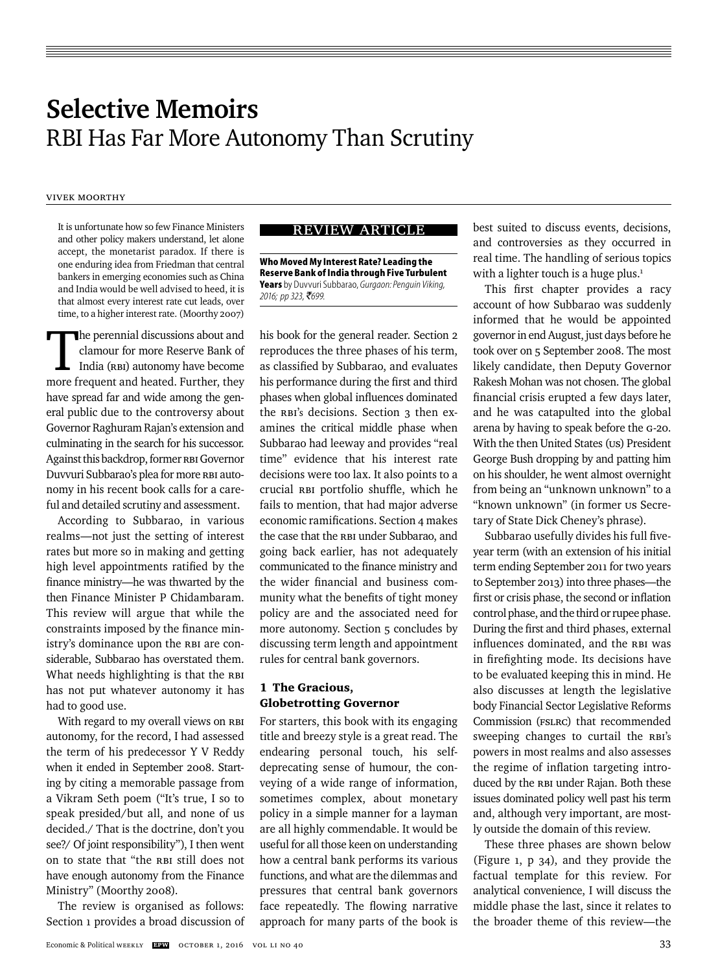# **Selective Memoirs**  RBI Has Far More Autonomy Than Scrutiny

# Vivek Moorthy

It is unfortunate how so few Finance Ministers and other policy makers understand, let alone accept, the monetarist paradox. If there is one enduring idea from Friedman that central bankers in emerging economies such as China and India would be well advised to heed, it is that almost every interest rate cut leads, over time, to a higher interest rate. (Moorthy 2007)

The perennial discussions about and<br>clamour for more Reserve Bank of<br>India (RBI) autonomy have become<br>more frequent and heated Further they clamour for more Reserve Bank of India (RBI) autonomy have become more frequent and heated. Further, they have spread far and wide among the general public due to the controversy about Governor Raghuram Rajan's extension and culminating in the search for his successor. Against this backdrop, former RBI Governor Duvvuri Subbarao's plea for more RBI autonomy in his recent book calls for a careful and detailed scrutiny and assessment.

According to Subbarao, in various realms—not just the setting of interest rates but more so in making and getting high level appointments ratified by the finance ministry—he was thwarted by the then Finance Minister P Chidambaram. This review will argue that while the constraints imposed by the finance ministry's dominance upon the RBI are considerable, Subbarao has overstated them. What needs highlighting is that the RBI has not put whatever autonomy it has had to good use.

With regard to my overall views on RBI autonomy, for the record, I had assessed the term of his predecessor Y V Reddy when it ended in September 2008. Starting by citing a memorable passage from a Vikram Seth poem ("It's true, I so to speak presided/but all, and none of us decided./ That is the doctrine, don't you see?/ Of joint responsibility"), I then went on to state that "the RBI still does not have enough autonomy from the Finance Ministry" (Moorthy 2008).

The review is organised as follows: Section 1 provides a broad discussion of

# review ARTICLE

**Who Moved My Interest Rate? Leading the Reserve Bank of India through Five Turbulent Years** by Duvvuri Subbarao, *Gurgaon: Penguin Viking, 2016; pp 323,* `*699.*

his book for the general reader. Section 2 reproduces the three phases of his term, as classified by Subbarao, and evaluates his performance during the first and third phases when global influences dominated the RBI's decisions. Section 3 then examines the critical middle phase when Subbarao had leeway and provides "real time" evidence that his interest rate decisions were too lax. It also points to a crucial RBI portfolio shuffle, which he fails to mention, that had major adverse economic ramifications. Section 4 makes the case that the RBI under Subbarao, and going back earlier, has not adequately communicated to the finance ministry and the wider financial and business community what the benefits of tight money policy are and the associated need for more autonomy. Section 5 concludes by discussing term length and appointment rules for central bank governors.

# 1 The Gracious, Globetrotting Governor

For starters, this book with its engaging title and breezy style is a great read. The endearing personal touch, his selfdeprecating sense of humour, the conveying of a wide range of information, sometimes complex, about monetary policy in a simple manner for a layman are all highly commendable. It would be useful for all those keen on understanding how a central bank performs its various functions, and what are the dilemmas and pressures that central bank governors face repeatedly. The flowing narrative approach for many parts of the book is best suited to discuss events, decisions, and controversies as they occurred in real time. The handling of serious topics with a lighter touch is a huge plus. $<sup>1</sup>$ </sup>

This first chapter provides a racy account of how Subbarao was suddenly informed that he would be appointed governor in end August, just days before he took over on 5 September 2008. The most likely candidate, then Deputy Governor Rakesh Mohan was not chosen. The global financial crisis erupted a few days later, and he was catapulted into the global arena by having to speak before the G-20. With the then United States (US) President George Bush dropping by and patting him on his shoulder, he went almost overnight from being an "unknown unknown" to a "known unknown" (in former US Secretary of State Dick Cheney's phrase).

Subbarao usefully divides his full fiveyear term (with an extension of his initial term ending September 2011 for two years to September 2013) into three phases—the first or crisis phase, the second or inflation control phase, and the third or rupee phase. During the first and third phases, external influences dominated, and the RBI was in firefighting mode. Its decisions have to be evaluated keeping this in mind. He also discusses at length the legislative body Financial Sector Legislative Reforms Commission (FSLRC) that recommended sweeping changes to curtail the RBI's powers in most realms and also assesses the regime of inflation targeting introduced by the RBI under Rajan. Both these issues dominated policy well past his term and, although very important, are mostly outside the domain of this review.

These three phases are shown below (Figure 1, p 34), and they provide the factual template for this review. For analytical convenience, I will discuss the middle phase the last, since it relates to the broader theme of this review—the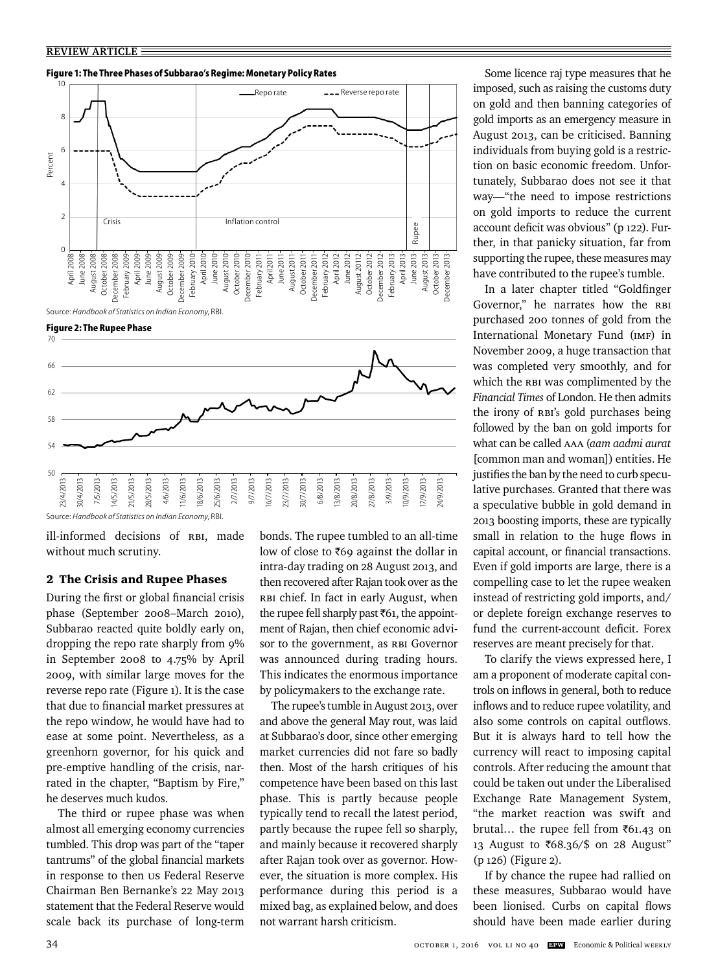#### **Figure 1: The Three Phases of Subbarao's Regime: Monetary Policy Rates**



Source: *Handbook of Statistics on Indian Economy*, RBI.





Source: *Handbook of Statistics on Indian Economy*, RBI.

ill-informed decisions of RBI, made without much scrutiny.

#### 2 The Crisis and Rupee Phases

During the first or global financial crisis phase (September 2008–March 2010), Subbarao reacted quite boldly early on, dropping the repo rate sharply from 9% in September 2008 to 4.75% by April 2009, with similar large moves for the reverse repo rate (Figure 1). It is the case that due to financial market pressures at the repo window, he would have had to ease at some point. Nevertheless, as a greenhorn governor, for his quick and pre-emptive handling of the crisis, narrated in the chapter, "Baptism by Fire," he deserves much kudos.

The third or rupee phase was when almost all emerging economy currencies tumbled. This drop was part of the "taper tantrums" of the global financial markets in response to then US Federal Reserve Chairman Ben Bernanke's 22 May 2013 statement that the Federal Reserve would scale back its purchase of long-term

bonds. The rupee tumbled to an all-time low of close to  $\bar{\tau}$ 69 against the dollar in intra-day trading on 28 August 2013, and then recovered after Rajan took over as the RBI chief. In fact in early August, when the rupee fell sharply past  $\bar{\tau}61$ , the appointment of Rajan, then chief economic advisor to the government, as RBI Governor was announced during trading hours. This indicates the enormous importance by policymakers to the exchange rate.

The rupee's tumble in August 2013, over and above the general May rout, was laid at Subbarao's door, since other emerging market currencies did not fare so badly then. Most of the harsh critiques of his competence have been based on this last phase. This is partly because people typically tend to recall the latest period, partly because the rupee fell so sharply, and mainly because it recovered sharply after Rajan took over as governor. However, the situation is more complex. His performance during this period is a mixed bag, as explained below, and does not warrant harsh criticism.

Some licence raj type measures that he imposed, such as raising the customs duty on gold and then banning categories of gold imports as an emergency measure in August 2013, can be criticised. Banning individuals from buying gold is a restriction on basic economic freedom. Unfortunately, Subbarao does not see it that way—"the need to impose restrictions on gold imports to reduce the current account deficit was obvious" (p 122). Further, in that panicky situation, far from supporting the rupee, these measures may have contributed to the rupee's tumble.

In a later chapter titled "Goldfinger Governor," he narrates how the RBI purchased 200 tonnes of gold from the International Monetary Fund (IMF) in November 2009, a huge transaction that was completed very smoothly, and for which the RBI was complimented by the *Financial Times* of London. He then admits the irony of RBI's gold purchases being followed by the ban on gold imports for what can be called AAA (*aam aadmi aurat*  [common man and woman]) entities. He justifies the ban by the need to curb speculative purchases. Granted that there was a speculative bubble in gold demand in 2013 boosting imports, these are typically small in relation to the huge flows in capital account, or financial transactions. Even if gold imports are large, there is a compelling case to let the rupee weaken instead of restricting gold imports, and/ or deplete foreign exchange reserves to fund the current-account deficit. Forex reserves are meant precisely for that.

To clarify the views expressed here, I am a proponent of moderate capital controls on inflows in general, both to reduce inflows and to reduce rupee volatility, and also some controls on capital outflows. But it is always hard to tell how the currency will react to imposing capital controls. After reducing the amount that could be taken out under the Liberalised Exchange Rate Management System, "the market reaction was swift and brutal... the rupee fell from  $\bar{\tau}$ 61.43 on 13 August to ₹68.36/\$ on 28 August" (p 126) (Figure 2).

If by chance the rupee had rallied on these measures, Subbarao would have been lionised. Curbs on capital flows should have been made earlier during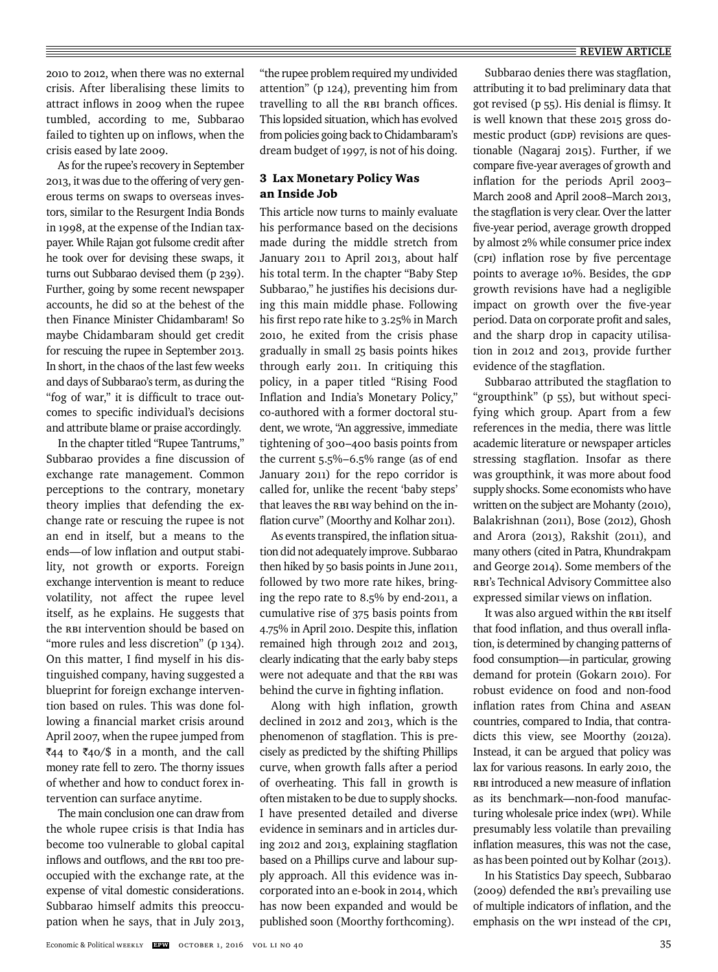2010 to 2012, when there was no external crisis. After liberalising these limits to attract inflows in 2009 when the rupee tumbled, according to me, Subbarao failed to tighten up on inflows, when the crisis eased by late 2009.

As for the rupee's recovery in September 2013, it was due to the offering of very generous terms on swaps to overseas investors, similar to the Resurgent India Bonds in 1998, at the expense of the Indian taxpayer. While Rajan got fulsome credit after he took over for devising these swaps, it turns out Subbarao devised them (p 239). Further, going by some recent newspaper accounts, he did so at the behest of the then Finance Minister Chidambaram! So maybe Chidambaram should get credit for rescuing the rupee in September 2013. In short, in the chaos of the last few weeks and days of Subbarao's term, as during the "fog of war," it is difficult to trace outcomes to specific individual's decisions and attribute blame or praise accordingly.

In the chapter titled "Rupee Tantrums," Subbarao provides a fine discussion of exchange rate management. Common perceptions to the contrary, monetary theory implies that defending the exchange rate or rescuing the rupee is not an end in itself, but a means to the ends—of low inflation and output stability, not growth or exports. Foreign exchange intervention is meant to reduce volatility, not affect the rupee level itself, as he explains. He suggests that the RBI intervention should be based on "more rules and less discretion" (p 134). On this matter, I find myself in his distinguished company, having suggested a blueprint for foreign exchange intervention based on rules. This was done following a financial market crisis around April 2007, when the rupee jumped from  $\overline{\xi}_{44}$  to  $\overline{\xi}_{40}/\overline{\xi}$  in a month, and the call money rate fell to zero. The thorny issues of whether and how to conduct forex intervention can surface anytime.

The main conclusion one can draw from the whole rupee crisis is that India has become too vulnerable to global capital inflows and outflows, and the RBI too preoccupied with the exchange rate, at the expense of vital domestic considerations. Subbarao himself admits this preoccupation when he says, that in July 2013,

"the rupee problem required my undivided attention" (p 124), preventing him from travelling to all the RBI branch offices. This lopsided situation, which has evolved from policies going back to Chidambaram's dream budget of 1997, is not of his doing.

# 3 Lax Monetary Policy Was an Inside Job

This article now turns to mainly evaluate his performance based on the decisions made during the middle stretch from January 2011 to April 2013, about half his total term. In the chapter "Baby Step Subbarao," he justifies his decisions during this main middle phase. Following his first repo rate hike to 3.25% in March 2010, he exited from the crisis phase gradually in small 25 basis points hikes through early 2011. In critiquing this policy, in a paper titled "Rising Food Inflation and India's Monetary Policy," co-authored with a former doctoral student, we wrote, "An aggressive, immediate tightening of 300–400 basis points from the current 5.5%–6.5% range (as of end January 2011) for the repo corridor is called for, unlike the recent 'baby steps' that leaves the RBI way behind on the inflation curve" (Moorthy and Kolhar 2011).

As events transpired, the inflation situation did not adequately improve. Subbarao then hiked by 50 basis points in June 2011, followed by two more rate hikes, bringing the repo rate to 8.5% by end-2011, a cumulative rise of 375 basis points from 4.75% in April 2010. Despite this, inflation remained high through 2012 and 2013, clearly indicating that the early baby steps were not adequate and that the RBI was behind the curve in fighting inflation.

Along with high inflation, growth declined in 2012 and 2013, which is the phenomenon of stagflation. This is precisely as predicted by the shifting Phillips curve, when growth falls after a period of overheating. This fall in growth is often mistaken to be due to supply shocks. I have presented detailed and diverse evidence in seminars and in articles during 2012 and 2013, explaining stagflation based on a Phillips curve and labour supply approach. All this evidence was incorporated into an e-book in 2014, which has now been expanded and would be published soon (Moorthy forthcoming).

Subbarao denies there was stagflation, attributing it to bad preliminary data that got revised (p 55). His denial is flimsy. It is well known that these 2015 gross domestic product (GDP) revisions are questionable (Nagaraj 2015). Further, if we compare five-year averages of growth and inflation for the periods April 2003-March 2008 and April 2008–March 2013, the stagflation is very clear. Over the latter five-year period, average growth dropped by almost 2% while consumer price index (CPI) inflation rose by five percentage points to average 10%. Besides, the GDP growth revisions have had a negligible impact on growth over the five-year period. Data on corporate profit and sales, and the sharp drop in capacity utilisation in 2012 and 2013, provide further evidence of the stagflation.

Subbarao attributed the stagflation to "groupthink" (p 55), but without specifying which group. Apart from a few references in the media, there was little academic literature or newspaper articles stressing stagflation. Insofar as there was groupthink, it was more about food supply shocks. Some economists who have written on the subject are Mohanty (2010), Balakrishnan (2011), Bose (2012), Ghosh and Arora (2013), Rakshit (2011), and many others (cited in Patra, Khundrakpam and George 2014). Some members of the RBI's Technical Advisory Committee also expressed similar views on inflation.

It was also argued within the RBI itself that food inflation, and thus overall inflation, is determined by changing patterns of food consumption—in particular, growing demand for protein (Gokarn 2010). For robust evidence on food and non-food inflation rates from China and ASEAN countries, compared to India, that contradicts this view, see Moorthy (2012a). Instead, it can be argued that policy was lax for various reasons. In early 2010, the RBI introduced a new measure of inflation as its benchmark—non-food manufacturing wholesale price index (WPI). While presumably less volatile than prevailing inflation measures, this was not the case, as has been pointed out by Kolhar (2013).

In his Statistics Day speech, Subbarao (2009) defended the RBI's prevailing use of multiple indicators of inflation, and the emphasis on the WPI instead of the CPI,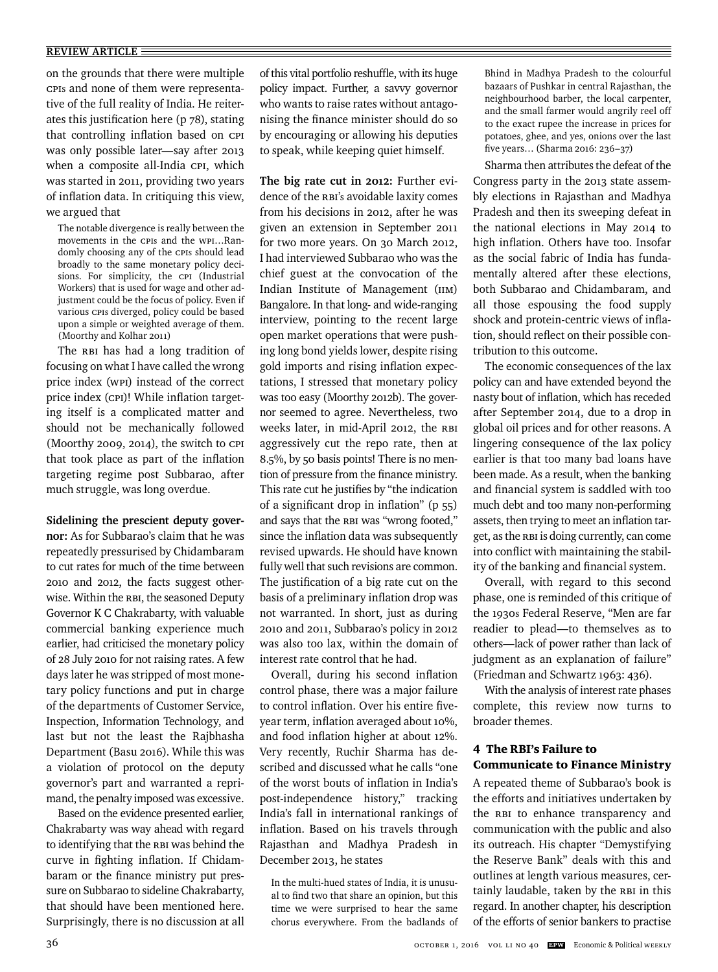on the grounds that there were multiple CPIs and none of them were representative of the full reality of India. He reiterates this justification here ( $p$   $78$ ), stating that controlling inflation based on CPI was only possible later—say after 2013 when a composite all-India CPI, which was started in 2011, providing two years of inflation data. In critiquing this view, we argued that

The notable divergence is really between the movements in the CPIs and the WPI…Randomly choosing any of the CPIs should lead broadly to the same monetary policy decisions. For simplicity, the CPI (Industrial Workers) that is used for wage and other adjustment could be the focus of policy. Even if various CPIs diverged, policy could be based upon a simple or weighted average of them. (Moorthy and Kolhar 2011)

The RBI has had a long tradition of focusing on what I have called the wrong price index (WPI) instead of the correct price index (CPI)! While inflation targeting itself is a complicated matter and should not be mechanically followed (Moorthy 2009, 2014), the switch to CPI that took place as part of the inflation targeting regime post Subbarao, after much struggle, was long overdue.

**Sidelining the prescient deputy governor:** As for Subbarao's claim that he was repeatedly pressurised by Chidambaram to cut rates for much of the time between 2010 and 2012, the facts suggest otherwise. Within the RBI, the seasoned Deputy Governor K C Chakrabarty, with valuable commercial banking experience much earlier, had criticised the monetary policy of 28 July 2010 for not raising rates. A few days later he was stripped of most monetary policy functions and put in charge of the departments of Customer Service, Inspection, Information Technology, and last but not the least the Rajbhasha Department (Basu 2016). While this was a violation of protocol on the deputy governor's part and warranted a reprimand, the penalty imposed was excessive.

Based on the evidence presented earlier, Chakrabarty was way ahead with regard to identifying that the RBI was behind the curve in fighting inflation. If Chidambaram or the finance ministry put pressure on Subbarao to sideline Chakrabarty, that should have been mentioned here. Surprisingly, there is no discussion at all of this vital portfolio reshuffle, with its huge policy impact. Further, a savvy governor who wants to raise rates without antagonising the finance minister should do so by encouraging or allowing his deputies to speak, while keeping quiet himself.

**The big rate cut in 2012:** Further evidence of the RBI's avoidable laxity comes from his decisions in 2012, after he was given an extension in September 2011 for two more years. On 30 March 2012, I had interviewed Subbarao who was the chief guest at the convocation of the Indian Institute of Management (IIM) Bangalore. In that long- and wide-ranging interview, pointing to the recent large open market operations that were pushing long bond yields lower, despite rising gold imports and rising inflation expectations, I stressed that monetary policy was too easy (Moorthy 2012b). The governor seemed to agree. Nevertheless, two weeks later, in mid-April 2012, the RBI aggressively cut the repo rate, then at 8.5%, by 50 basis points! There is no mention of pressure from the finance ministry. This rate cut he justifies by "the indication of a significant drop in inflation"  $(p 55)$ and says that the RBI was "wrong footed," since the inflation data was subsequently revised upwards. He should have known fully well that such revisions are common. The justification of a big rate cut on the basis of a preliminary inflation drop was not warranted. In short, just as during 2010 and 2011, Subbarao's policy in 2012 was also too lax, within the domain of interest rate control that he had.

Overall, during his second inflation control phase, there was a major failure to control inflation. Over his entire fiveyear term, inflation averaged about 10%, and food inflation higher at about 12%. Very recently, Ruchir Sharma has described and discussed what he calls "one of the worst bouts of inflation in India's post-independence history," tracking India's fall in international rankings of inflation. Based on his travels through Rajasthan and Madhya Pradesh in December 2013, he states

In the multi-hued states of India, it is unusual to find two that share an opinion, but this time we were surprised to hear the same chorus everywhere. From the badlands of

Bhind in Madhya Pradesh to the colourful bazaars of Pushkar in central Rajasthan, the neighbourhood barber, the local carpenter, and the small farmer would angrily reel off to the exact rupee the increase in prices for potatoes, ghee, and yes, onions over the last five years... (Sharma 2016: 236-37)

Sharma then attributes the defeat of the Congress party in the 2013 state assembly elections in Rajasthan and Madhya Pradesh and then its sweeping defeat in the national elections in May 2014 to high inflation. Others have too. Insofar as the social fabric of India has fundamentally altered after these elections, both Subbarao and Chidambaram, and all those espousing the food supply shock and protein-centric views of inflation, should reflect on their possible contribution to this outcome.

The economic consequences of the lax policy can and have extended beyond the nasty bout of inflation, which has receded after September 2014, due to a drop in global oil prices and for other reasons. A lingering consequence of the lax policy earlier is that too many bad loans have been made. As a result, when the banking and financial system is saddled with too much debt and too many non-performing assets, then trying to meet an inflation target, as the RBI is doing currently, can come into conflict with maintaining the stability of the banking and financial system.

Overall, with regard to this second phase, one is reminded of this critique of the 1930s Federal Reserve, "Men are far readier to plead—to themselves as to others—lack of power rather than lack of judgment as an explanation of failure" (Friedman and Schwartz 1963: 436).

With the analysis of interest rate phases complete, this review now turns to broader themes.

### 4 The RBI's Failure to Communicate to Finance Ministry

A repeated theme of Subbarao's book is the efforts and initiatives undertaken by the RBI to enhance transparency and communication with the public and also its outreach. His chapter "Demystifying the Reserve Bank" deals with this and outlines at length various measures, certainly laudable, taken by the RBI in this regard. In another chapter, his description of the efforts of senior bankers to practise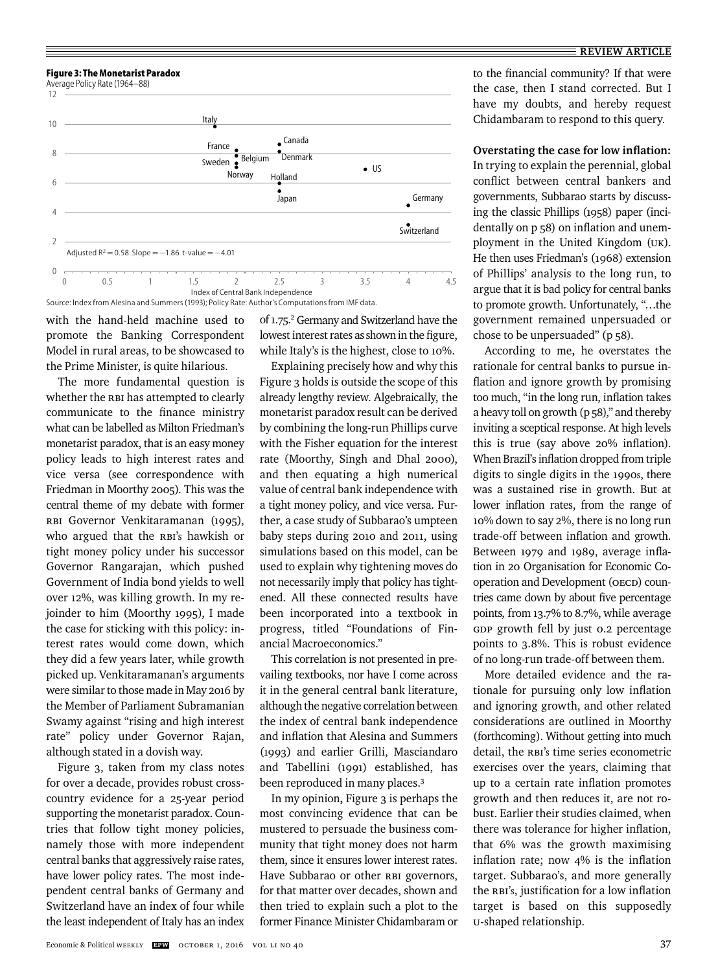

with the hand-held machine used to promote the Banking Correspondent Model in rural areas, to be showcased to the Prime Minister, is quite hilarious.

The more fundamental question is whether the RBI has attempted to clearly communicate to the finance ministry what can be labelled as Milton Friedman's monetarist paradox, that is an easy money policy leads to high interest rates and vice versa (see correspondence with Friedman in Moorthy 2005). This was the central theme of my debate with former RBI Governor Venkitaramanan (1995), who argued that the RBI's hawkish or tight money policy under his successor Governor Rangarajan, which pushed Government of India bond yields to well over 12%, was killing growth. In my rejoinder to him (Moorthy 1995), I made the case for sticking with this policy: interest rates would come down, which they did a few years later, while growth picked up. Venkitaramanan's arguments were similar to those made in May 2016 by the Member of Parliament Subramanian Swamy against "rising and high interest rate" policy under Governor Rajan, although stated in a dovish way.

Figure 3, taken from my class notes for over a decade, provides robust crosscountry evidence for a 25-year period supporting the monetarist paradox. Countries that follow tight money policies, namely those with more independent central banks that aggressively raise rates, have lower policy rates. The most independent central banks of Germany and Switzerland have an index of four while the least independent of Italy has an index

of 1.75.<sup>2</sup> Germany and Switzerland have the lowest interest rates as shown in the figure, while Italy's is the highest, close to 10%.

Explaining precisely how and why this Figure 3 holds is outside the scope of this already lengthy review. Algebraically, the monetarist paradox result can be derived by combining the long-run Phillips curve with the Fisher equation for the interest rate (Moorthy, Singh and Dhal 2000), and then equating a high numerical value of central bank independence with a tight money policy, and vice versa. Further, a case study of Subbarao's umpteen baby steps during 2010 and 2011, using simulations based on this model, can be used to explain why tightening moves do not necessarily imply that policy has tightened. All these connected results have been incorporated into a textbook in progress, titled "Foundations of Financial Macroeconomics."

This correlation is not presented in prevailing textbooks, nor have I come across it in the general central bank literature, although the negative correlation between the index of central bank independence and inflation that Alesina and Summers (1993) and earlier Grilli, Masciandaro and Tabellini (1991) established, has been reproduced in many places.3

In my opinion**,** Figure 3 is perhaps the most convincing evidence that can be mustered to persuade the business community that tight money does not harm them, since it ensures lower interest rates. Have Subbarao or other RBI governors, for that matter over decades, shown and then tried to explain such a plot to the former Finance Minister Chidambaram or to the financial community? If that were the case, then I stand corrected. But I have my doubts, and hereby request Chidambaram to respond to this query.

**Overstating the case for low inflation:** In trying to explain the perennial, global conflict between central bankers and governments, Subbarao starts by discussing the classic Phillips (1958) paper (incidentally on  $p$  58) on inflation and unemployment in the United Kingdom (UK). He then uses Friedman's (1968) extension of Phillips' analysis to the long run, to argue that it is bad policy for central banks to promote growth. Unfortunately, "…the government remained unpersuaded or chose to be unpersuaded" (p 58).

According to me**,** he overstates the rationale for central banks to pursue inflation and ignore growth by promising too much, "in the long run, inflation takes a heavy toll on growth (p 58)," and thereby inviting a sceptical response. At high levels this is true (say above  $20\%$  inflation). When Brazil's inflation dropped from triple digits to single digits in the 1990s, there was a sustained rise in growth. But at lower inflation rates, from the range of 10% down to say 2%, there is no long run trade-off between inflation and growth. Between 1979 and 1989, average inflation in 20 Organisation for Economic Cooperation and Development (OECD) countries came down by about five percentage points*,* from 13.7% to 8.7%, while average GDP growth fell by just 0.2 percentage points to 3.8%. This is robust evidence of no long-run trade-off between them.

More detailed evidence and the rationale for pursuing only low inflation and ignoring growth, and other related considerations are outlined in Moorthy (forthcoming). Without getting into much detail, the RBI's time series econometric exercises over the years, claiming that up to a certain rate inflation promotes growth and then reduces it, are not robust. Earlier their studies claimed, when there was tolerance for higher inflation, that 6% was the growth maximising inflation rate; now  $4\%$  is the inflation target. Subbarao's, and more generally the RBI's, justification for a low inflation target is based on this supposedly U-shaped relationship.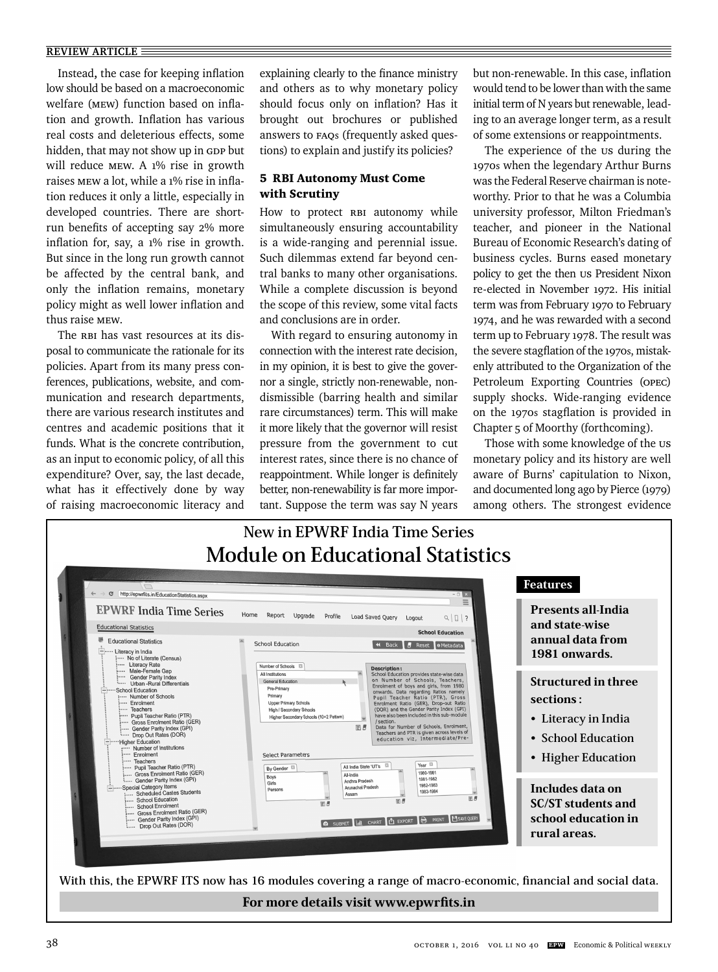Instead, the case for keeping inflation low should be based on a macroeconomic welfare (MEW) function based on inflation and growth. Inflation has various real costs and deleterious effects, some hidden, that may not show up in GDP but will reduce MEW. A 1% rise in growth raises MEW a lot, while a 1% rise in inflation reduces it only a little, especially in developed countries. There are shortrun benefits of accepting say 2% more inflation for, say, a 1% rise in growth. But since in the long run growth cannot be affected by the central bank, and only the inflation remains, monetary policy might as well lower inflation and thus raise MEW.

The RBI has vast resources at its disposal to communicate the rationale for its policies. Apart from its many press conferences, publications, website, and communication and research departments, there are various research institutes and centres and academic positions that it funds. What is the concrete contribution, as an input to economic policy, of all this expenditure? Over, say, the last decade, what has it effectively done by way of raising macroeconomic literacy and

explaining clearly to the finance ministry and others as to why monetary policy should focus only on inflation? Has it brought out brochures or published answers to FAQs (frequently asked questions) to explain and justify its policies?

## 5 RBI Autonomy Must Come with Scrutiny

How to protect RBI autonomy while simultaneously ensuring accountability is a wide-ranging and perennial issue. Such dilemmas extend far beyond central banks to many other organisations. While a complete discussion is beyond the scope of this review, some vital facts and conclusions are in order.

With regard to ensuring autonomy in connection with the interest rate decision, in my opinion, it is best to give the governor a single, strictly non-renewable, nondismissible (barring health and similar rare circumstances) term. This will make it more likely that the governor will resist pressure from the government to cut interest rates, since there is no chance of reappointment. While longer is definitely better, non-renewability is far more important. Suppose the term was say N years but non-renewable. In this case, inflation would tend to be lower than with the same initial term of N years but renewable, leading to an average longer term, as a result of some extensions or reappointments.

The experience of the us during the 1970s when the legendary Arthur Burns was the Federal Reserve chairman is noteworthy. Prior to that he was a Columbia university professor, Milton Friedman's teacher, and pioneer in the National Bureau of Economic Research's dating of business cycles. Burns eased monetary policy to get the then US President Nixon re-elected in November 1972. His initial term was from February 1970 to February 1974, and he was rewarded with a second term up to February 1978. The result was the severe stagflation of the 1970s, mistakenly attributed to the Organization of the Petroleum Exporting Countries (OPEC) supply shocks. Wide-ranging evidence on the 1970s stagflation is provided in Chapter 5 of Moorthy (forthcoming).

Those with some knowledge of the us monetary policy and its history are well aware of Burns' capitulation to Nixon, and documented long ago by Pierce (1979) among others. The strongest evidence